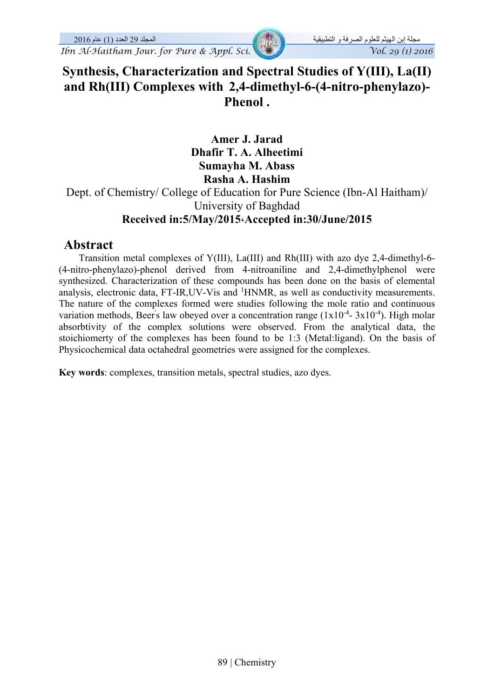# **Synthesis, Characterization and Spectral Studies of Y(III), La(II) and Rh(III) Complexes with 2,4-dimethyl-6-(4-nitro-phenylazo)- Phenol .**

**Amer J. Jarad Dhafir T. A. Alheetimi Sumayha M. Abass Rasha A. Hashim** 

Dept. of Chemistry/ College of Education for Pure Science (Ibn-Al Haitham)/ University of Baghdad **Received in:5/May/2015،Accepted in:30/June/2015** 

## **Abstract**

 Transition metal complexes of Y(III), La(III) and Rh(III) with azo dye 2,4-dimethyl-6- (4-nitro-phenylazo)-phenol derived from 4-nitroaniline and 2,4-dimethylphenol were synthesized. Characterization of these compounds has been done on the basis of elemental analysis, electronic data, FT-IR, UV-Vis and <sup>1</sup>HNMR, as well as conductivity measurements. The nature of the complexes formed were studies following the mole ratio and continuous variation methods, Beer's law obeyed over a concentration range  $(1x10^{-4} - 3x10^{-4})$ . High molar absorbtivity of the complex solutions were observed. From the analytical data, the stoichiomerty of the complexes has been found to be 1:3 (Metal:ligand). On the basis of Physicochemical data octahedral geometries were assigned for the complexes.

**Key words**: complexes, transition metals, spectral studies, azo dyes.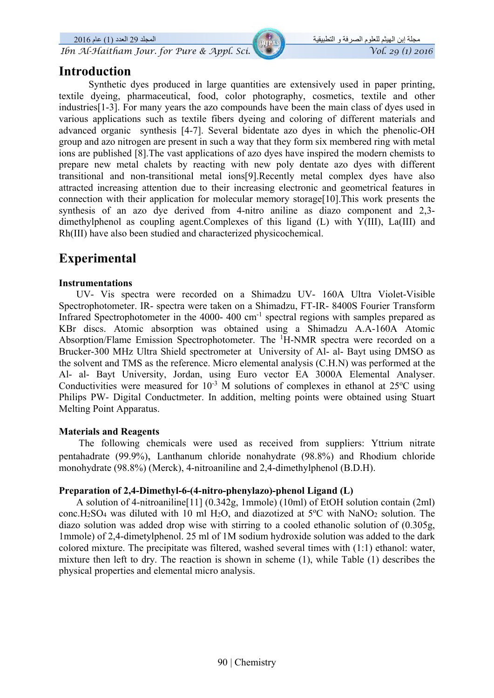*Ibn Al-Haitham Jour. for Pure & Appl. Sci.*  $\sqrt{\frac{g(1/2016)}{g(1/2016)}}$ 

## **Introduction**

Synthetic dyes produced in large quantities are extensively used in paper printing, textile dyeing, pharmaceutical, food, color photography, cosmetics, textile and other industries[1-3]. For many years the azo compounds have been the main class of dyes used in various applications such as textile fibers dyeing and coloring of different materials and advanced organic synthesis [4-7]. Several bidentate azo dyes in which the phenolic-OH group and azo nitrogen are present in such a way that they form six membered ring with metal ions are published [8].The vast applications of azo dyes have inspired the modern chemists to prepare new metal chalets by reacting with new poly dentate azo dyes with different transitional and non-transitional metal ions[9].Recently metal complex dyes have also attracted increasing attention due to their increasing electronic and geometrical features in connection with their application for molecular memory storage[10].This work presents the synthesis of an azo dye derived from 4-nitro aniline as diazo component and 2,3 dimethylphenol as coupling agent.Complexes of this ligand (L) with Y(III), La(III) and Rh(III) have also been studied and characterized physicochemical.

# **Experimental**

### **Instrumentations**

 UV- Vis spectra were recorded on a Shimadzu UV- 160A Ultra Violet-Visible Spectrophotometer. IR- spectra were taken on a Shimadzu, FT-IR- 8400S Fourier Transform Infrared Spectrophotometer in the 4000- 400 cm<sup>-1</sup> spectral regions with samples prepared as KBr discs. Atomic absorption was obtained using a Shimadzu A.A-160A Atomic Absorption/Flame Emission Spectrophotometer. The <sup>1</sup>H-NMR spectra were recorded on a Brucker-300 MHz Ultra Shield spectrometer at University of Al- al- Bayt using DMSO as the solvent and TMS as the reference. Micro elemental analysis (C.H.N) was performed at the Al- al- Bayt University, Jordan, using Euro vector EA 3000A Elemental Analyser. Conductivities were measured for  $10^{-3}$  M solutions of complexes in ethanol at  $25^{\circ}$ C using Philips PW- Digital Conductmeter. In addition, melting points were obtained using Stuart Melting Point Apparatus.

## **Materials and Reagents**

 The following chemicals were used as received from suppliers: Yttrium nitrate pentahadrate (99.9%), Lanthanum chloride nonahydrate (98.8%) and Rhodium chloride monohydrate (98.8%) (Merck), 4-nitroaniline and 2,4-dimethylphenol (B.D.H).

## **Preparation of 2,4-Dimethyl-6-(4-nitro-phenylazo)-phenol Ligand (L)**

 A solution of 4-nitroaniline[11] (0.342g, 1mmole) (10ml) of EtOH solution contain (2ml) conc.H<sub>2</sub>SO<sub>4</sub> was diluted with 10 ml H<sub>2</sub>O, and diazotized at 5°C with NaNO<sub>2</sub> solution. The diazo solution was added drop wise with stirring to a cooled ethanolic solution of (0.305g, 1mmole) of 2,4-dimetylphenol. 25 ml of 1M sodium hydroxide solution was added to the dark colored mixture. The precipitate was filtered, washed several times with (1:1) ethanol: water, mixture then left to dry. The reaction is shown in scheme (1), while Table (1) describes the physical properties and elemental micro analysis.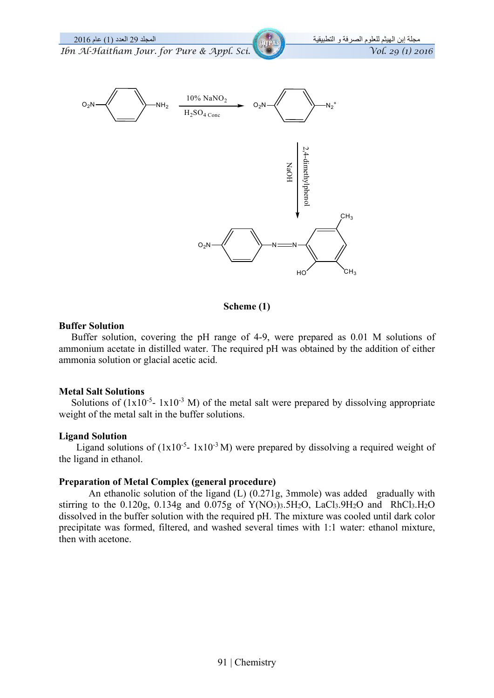

**Scheme (1)**

#### **Buffer Solution**

 Buffer solution, covering the pH range of 4-9, were prepared as 0.01 M solutions of ammonium acetate in distilled water. The required pH was obtained by the addition of either ammonia solution or glacial acetic acid.

#### **Metal Salt Solutions**

Solutions of  $(1x10^{-5} - 1x10^{-3} M)$  of the metal salt were prepared by dissolving appropriate weight of the metal salt in the buffer solutions.

#### **Ligand Solution**

Ligand solutions of  $(1x10^{-5} - 1x10^{-3} M)$  were prepared by dissolving a required weight of the ligand in ethanol.

#### **Preparation of Metal Complex (general procedure)**

 An ethanolic solution of the ligand (L) (0.271g, 3mmole) was added gradually with stirring to the 0.120g, 0.134g and 0.075g of  $Y(NO_3)$ 3.5H<sub>2</sub>O, LaCl<sub>3</sub>.9H<sub>2</sub>O and RhCl<sub>3</sub>.H<sub>2</sub>O dissolved in the buffer solution with the required pH. The mixture was cooled until dark color precipitate was formed, filtered, and washed several times with 1:1 water: ethanol mixture, then with acetone.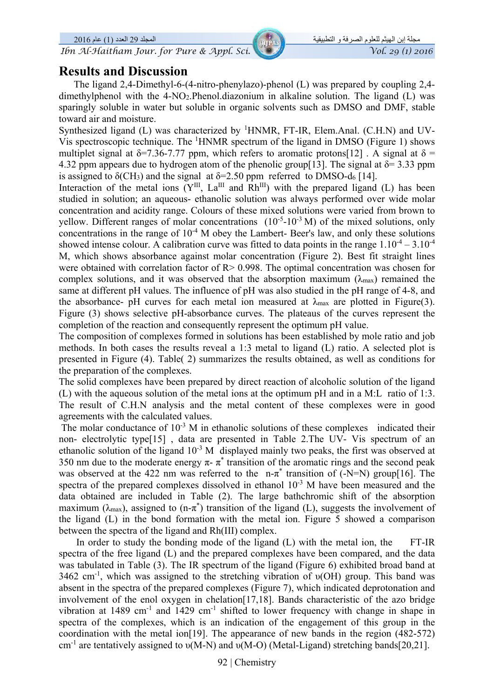## **Results and Discussion**

 The ligand 2,4-Dimethyl-6-(4-nitro-phenylazo)-phenol (L) was prepared by coupling 2,4 dimethylphenol with the 4-NO2.Phenol.diazonium in alkaline solution. The ligand (L) was sparingly soluble in water but soluble in organic solvents such as DMSO and DMF, stable toward air and moisture.

Synthesized ligand (L) was characterized by <sup>1</sup>HNMR, FT-IR, Elem.Anal. (C.H.N) and UV-Vis spectroscopic technique. The <sup>1</sup>HNMR spectrum of the ligand in DMSO (Figure 1) shows multiplet signal at  $\delta$ =7.36-7.77 ppm, which refers to aromatic protons[12]. A signal at  $\delta$  = 4.32 ppm appears due to hydrogen atom of the phenolic group[13]. The signal at  $\delta$ = 3.33 ppm is assigned to  $\delta$ (CH<sub>3</sub>) and the signal at  $\delta$ =2.50 ppm referred to DMSO-d<sub>6</sub> [14].

Interaction of the metal ions  $(Y^{III}, La^{III}$  and  $Rh^{III})$  with the prepared ligand (L) has been studied in solution; an aqueous- ethanolic solution was always performed over wide molar concentration and acidity range. Colours of these mixed solutions were varied from brown to yellow. Different ranges of molar concentrations  $(10^{-5} - 10^{-3} M)$  of the mixed solutions, only concentrations in the range of  $10^{-4}$  M obey the Lambert- Beer's law, and only these solutions showed intense colour. A calibration curve was fitted to data points in the range  $1.10^{-4} - 3.10^{-4}$ M, which shows absorbance against molar concentration (Figure 2). Best fit straight lines were obtained with correlation factor of R > 0.998. The optimal concentration was chosen for complex solutions, and it was observed that the absorption maximum  $(\lambda_{\text{max}})$  remained the same at different pH values. The influence of pH was also studied in the pH range of 4-8, and the absorbance- pH curves for each metal ion measured at  $\lambda_{\text{max}}$  are plotted in Figure(3). Figure (3) shows selective pH-absorbance curves. The plateaus of the curves represent the completion of the reaction and consequently represent the optimum pH value.

The composition of complexes formed in solutions has been established by mole ratio and job methods. In both cases the results reveal a 1:3 metal to ligand (L) ratio. A selected plot is presented in Figure (4). Table( 2) summarizes the results obtained, as well as conditions for the preparation of the complexes.

The solid complexes have been prepared by direct reaction of alcoholic solution of the ligand (L) with the aqueous solution of the metal ions at the optimum pH and in a M:L ratio of 1:3. The result of C.H.N analysis and the metal content of these complexes were in good agreements with the calculated values.

The molar conductance of  $10^{-3}$  M in ethanolic solutions of these complexes indicated their non- electrolytic type[15] , data are presented in Table 2.The UV- Vis spectrum of an ethanolic solution of the ligand  $10^{-3}$  M displayed mainly two peaks, the first was observed at 350 nm due to the moderate energy  $\pi$ -  $\pi^*$  transition of the aromatic rings and the second peak was observed at the 422 nm was referred to the  $n-\pi^*$  transition of (-N=N) group[16]. The spectra of the prepared complexes dissolved in ethanol  $10^{-3}$  M have been measured and the data obtained are included in Table (2). The large bathchromic shift of the absorption maximum ( $\lambda_{\text{max}}$ ), assigned to (n- $\pi^*$ ) transition of the ligand (L), suggests the involvement of the ligand (L) in the bond formation with the metal ion. Figure 5 showed a comparison between the spectra of the ligand and Rh(III) complex.

In order to study the bonding mode of the ligand (L) with the metal ion, the FT-IR spectra of the free ligand (L) and the prepared complexes have been compared, and the data was tabulated in Table (3). The IR spectrum of the ligand (Figure 6) exhibited broad band at 3462 cm<sup>-1</sup>, which was assigned to the stretching vibration of  $\nu(OH)$  group. This band was absent in the spectra of the prepared complexes (Figure 7), which indicated deprotonation and involvement of the enol oxygen in chelation[17,18]. Bands characteristic of the azo bridge vibration at  $1489 \text{ cm}^{-1}$  and  $1429 \text{ cm}^{-1}$  shifted to lower frequency with change in shape in spectra of the complexes, which is an indication of the engagement of this group in the coordination with the metal ion[19]. The appearance of new bands in the region (482-572) cm<sup>-1</sup> are tentatively assigned to  $\nu(M-N)$  and  $\nu(M-O)$  (Metal-Ligand) stretching bands[20,21].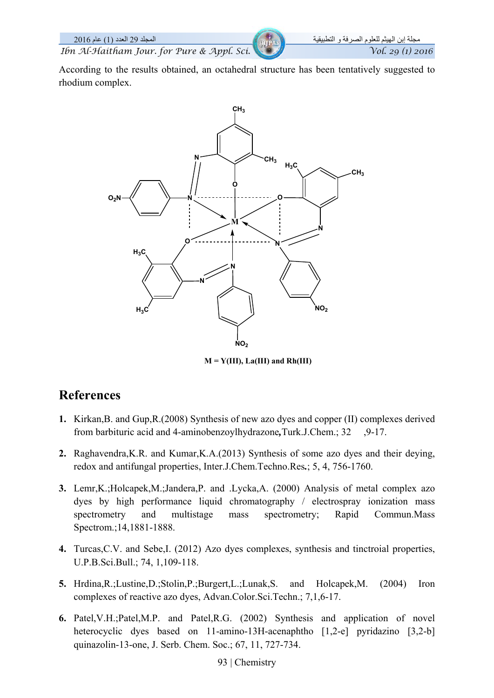According to the results obtained, an octahedral structure has been tentatively suggested to rhodium complex.



 $M = Y(III)$ , La(III) and Rh(III)

# **References**

- **1.** Kirkan,B. and Gup,R.(2008) Synthesis of new azo dyes and copper (II) complexes derived from barbituric acid and 4-aminobenzoylhydrazone*,*Turk.J.Chem.; 32 ,9-17.
- **2.** Raghavendra,K.R. and Kumar,K.A.(2013) Synthesis of some azo dyes and their deying, redox and antifungal properties, Inter.J.Chem.Techno.Res*.*; 5, 4, 756-1760.
- **3.** Lemr,K.;Holcapek,M.;Jandera,P. and .Lycka,A. (2000) Analysis of metal complex azo dyes by high performance liquid chromatography / electrospray ionization mass spectrometry and multistage mass spectrometry; Rapid Commun.Mass Spectrom.;14,1881-1888.
- **4.** Turcas,C.V. and Sebe,I. (2012) Azo dyes complexes, synthesis and tinctroial properties, U.P.B.Sci.Bull.; 74, 1,109-118.
- **5.** Hrdina,R.;Lustine,D.;Stolin,P.;Burgert,L.;Lunak,S. and Holcapek,M. (2004) Iron complexes of reactive azo dyes, Advan.Color.Sci.Techn.; 7,1,6-17.
- **6.** Patel,V.H.;Patel,M.P. and Patel,R.G. (2002) Synthesis and application of novel heterocyclic dyes based on 11-amino-13H-acenaphtho [1,2-e] pyridazino [3,2-b] quinazolin-13-one, J. Serb. Chem. Soc.; 67, 11, 727-734.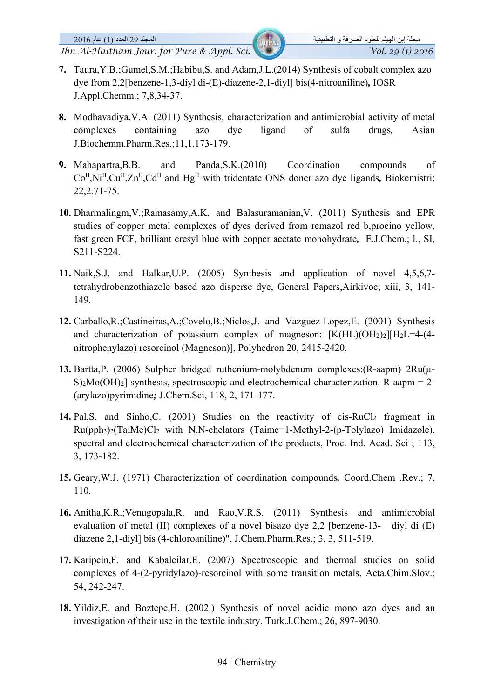- **7.** Taura,Y.B.;Gumel,S.M.;Habibu,S. and Adam,J.L.(2014) Synthesis of cobalt complex azo dye from 2,2[benzene-1,3-diyl di-(E)-diazene-2,1-diyl] bis(4-nitroaniline)*,* IOSR J.Appl.Chemm.; 7,8,34-37.
- **8.** Modhavadiya,V.A. (2011) Synthesis, characterization and antimicrobial activity of metal complexes containing azo dye ligand of sulfa drugs*,* Asian J.Biochemm.Pharm.Res.;11,1,173-179.
- **9.** Mahapartra,B.B. and Panda,S.K.(2010) Coordination compounds of Co<sup>II</sup>,Ni<sup>II</sup>,Cu<sup>II</sup>,Zn<sup>II</sup>,Cd<sup>II</sup> and Hg<sup>II</sup> with tridentate ONS doner azo dye ligands, Biokemistri; 22,2,71-75.
- **10.** Dharmalingm,V.;Ramasamy,A.K. and Balasuramanian,V. (2011) Synthesis and EPR studies of copper metal complexes of dyes derived from remazol red b,procino yellow, fast green FCF, brilliant cresyl blue with copper acetate monohydrate*,* E.J.Chem.; l., SI, S211-S224.
- **11.** Naik,S.J. and Halkar,U.P. (2005) Synthesis and application of novel 4,5,6,7 tetrahydrobenzothiazole based azo disperse dye, General Papers,Airkivoc; xiii, 3, 141- 149.
- **12.** Carballo,R.;Castineiras,A.;Covelo,B.;Niclos,J. and Vazguez-Lopez,E. (2001) Synthesis and characterization of potassium complex of magneson:  $[K(HL)(OH<sub>2</sub>)<sub>2</sub>][H<sub>2</sub>L=4-(4$ nitrophenylazo) resorcinol (Magneson)], Polyhedron 20, 2415-2420.
- **13.** Bartta,P. (2006) Sulpher bridged ruthenium-molybdenum complexes:(R-aapm) 2Ru(µ- $S_2Mo(OH)_2$ ] synthesis, spectroscopic and electrochemical characterization. R-aapm = 2-(arylazo)pyrimidine*;* J.Chem.Sci, 118, 2, 171-177.
- 14. Pal, S. and Sinho, C. (2001) Studies on the reactivity of cis-RuCl<sub>2</sub> fragment in Ru(pph3)2(TaiMe)Cl2 with N,N-chelators (Taime=1-Methyl-2-(p-Tolylazo) Imidazole). spectral and electrochemical characterization of the products, Proc. Ind. Acad. Sci ; 113, 3, 173-182.
- **15.** Geary,W.J. (1971) Characterization of coordination compounds*,* Coord.Chem .Rev.; 7, 110.
- **16.** Anitha,K.R.;Venugopala,R. and Rao,V.R.S. (2011) Synthesis and antimicrobial evaluation of metal (II) complexes of a novel bisazo dye 2,2 [benzene-13- diyl di (E) diazene 2,1-diyl] bis (4-chloroaniline)", J.Chem.Pharm.Res.; 3, 3, 511-519.
- **17.** Karipcin,F. and Kabalcilar,E. (2007) Spectroscopic and thermal studies on solid complexes of 4-(2-pyridylazo)-resorcinol with some transition metals, Acta.Chim.Slov.; 54, 242-247.
- **18.** Yildiz,E. and Boztepe,H. (2002.) Synthesis of novel acidic mono azo dyes and an investigation of their use in the textile industry, Turk.J.Chem.; 26, 897-9030.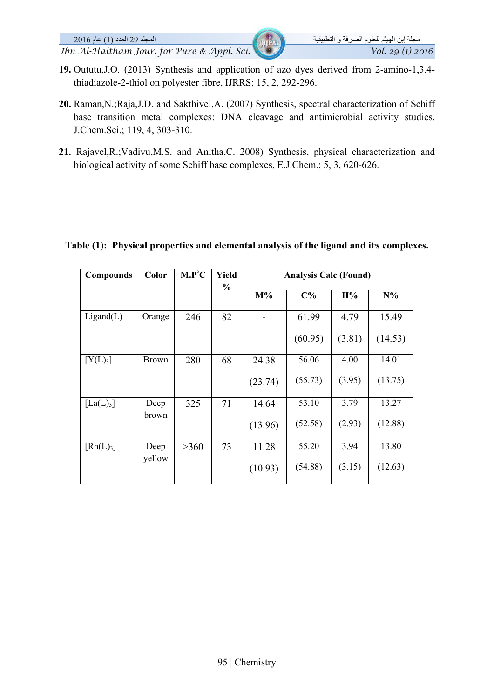- **19.** Oututu,J.O. (2013) Synthesis and application of azo dyes derived from 2-amino-1,3,4 thiadiazole-2-thiol on polyester fibre, IJRRS; 15, 2, 292-296.
- **20.** Raman,N.;Raja,J.D. and Sakthivel,A. (2007) Synthesis, spectral characterization of Schiff base transition metal complexes: DNA cleavage and antimicrobial activity studies, J.Chem.Sci.; 119, 4, 303-310.
- **21.** Rajavel,R.;Vadivu,M.S. and Anitha,C. 2008) Synthesis, physical characterization and biological activity of some Schiff base complexes, E.J.Chem.; 5, 3, 620-626.

## Table (1): Physical properties and elemental analysis of the ligand and it's complexes.

| <b>Compounds</b>      | Color        | $M.P^{\circ}C$ | <b>Yield</b><br>$\frac{0}{0}$ | <b>Analysis Calc (Found)</b> |         |        |         |
|-----------------------|--------------|----------------|-------------------------------|------------------------------|---------|--------|---------|
|                       |              |                |                               | $M\%$                        | $C\%$   | H%     | $N\%$   |
| Ligand(L)             | Orange       | 246            | 82                            |                              | 61.99   | 4.79   | 15.49   |
|                       |              |                |                               |                              | (60.95) | (3.81) | (14.53) |
| [Y(L) <sub>3</sub> ]  | <b>Brown</b> | 280            | 68                            | 24.38                        | 56.06   | 4.00   | 14.01   |
|                       |              |                |                               | (23.74)                      | (55.73) | (3.95) | (13.75) |
| [La(L) <sub>3</sub> ] | Deep         | 325            | 71                            | 14.64                        | 53.10   | 3.79   | 13.27   |
|                       | brown        |                |                               | (13.96)                      | (52.58) | (2.93) | (12.88) |
| [Rh(L) <sub>3</sub> ] | Deep         | >360           | 73                            | 11.28                        | 55.20   | 3.94   | 13.80   |
|                       | yellow       |                |                               | (10.93)                      | (54.88) | (3.15) | (12.63) |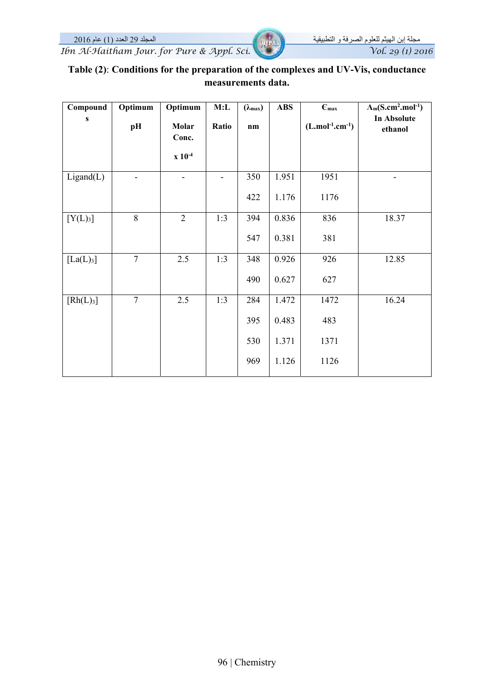مجلة إبن الهيثم للعلوم الصرفة و التطبيقية المجلد 29 العدد (1) عام 2016 *Ibn Al-Haitham Jour. for Pure & Appl. Sci.* 

| Table (2): Conditions for the preparation of the complexes and UV-Vis, conductance |
|------------------------------------------------------------------------------------|
| measurements data.                                                                 |

| Compound              | Optimum                  | Optimum                       | M:L                      | $(\lambda_{\max})$ | <b>ABS</b> | $\epsilon_{\text{max}}$ | $\Lambda_m(S.cm^2.mol^{-1})$ |
|-----------------------|--------------------------|-------------------------------|--------------------------|--------------------|------------|-------------------------|------------------------------|
| ${\bf S}$             | pH                       | Molar<br>Conc.<br>$x 10^{-4}$ | Ratio                    | n <sub>m</sub>     |            | $(L.mol^{-1}.cm^{-1})$  | In Absolute<br>ethanol       |
| Ligand(L)             | $\overline{\phantom{0}}$ | -                             | $\overline{\phantom{a}}$ | 350                | 1.951      | 1951                    | -                            |
|                       |                          |                               |                          | 422                | 1.176      | 1176                    |                              |
| [Y(L) <sub>3</sub> ]  | 8                        | $\overline{2}$                | 1:3                      | 394                | 0.836      | 836                     | 18.37                        |
|                       |                          |                               |                          | 547                | 0.381      | 381                     |                              |
| [La(L) <sub>3</sub> ] | $\overline{7}$           | 2.5                           | 1:3                      | 348                | 0.926      | 926                     | 12.85                        |
|                       |                          |                               |                          | 490                | 0.627      | 627                     |                              |
| [Rh(L) <sub>3</sub> ] | $\overline{7}$           | 2.5                           | 1:3                      | 284                | 1.472      | 1472                    | 16.24                        |
|                       |                          |                               |                          | 395                | 0.483      | 483                     |                              |
|                       |                          |                               |                          | 530                | 1.371      | 1371                    |                              |
|                       |                          |                               |                          | 969                | 1.126      | 1126                    |                              |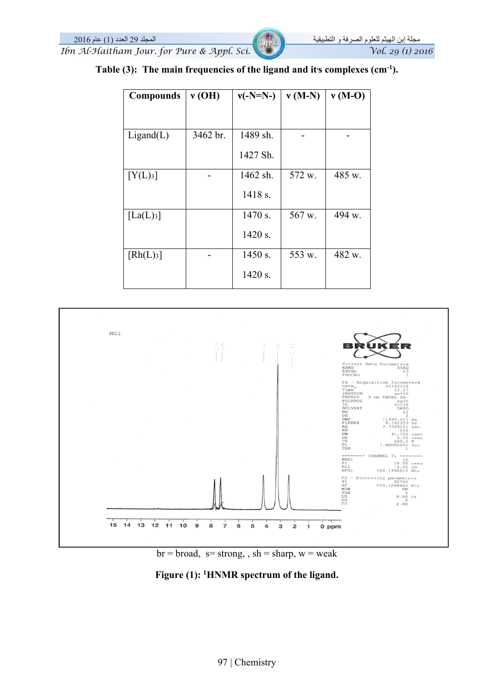مجلة إبن الهيثم للعلوم الصرفة و التطبيقية المجلد 29 العدد (1) عام 2016 *Ibn Al-Haitham Jour. for Pure & Appl. Sci.* Vol. 29 (1) 2016

| <b>Compounds</b>           | v(OH)    | $v(-N=N-)$ | $v(M-N)$ | $v(M-O)$ |
|----------------------------|----------|------------|----------|----------|
|                            |          |            |          |          |
| Ligand(L)                  | 3462 br. | 1489 sh.   |          |          |
|                            |          | 1427 Sh.   |          |          |
| [Y(L) <sub>3</sub> ]       |          | 1462 sh.   | 572 w.   | 485 w.   |
|                            |          | 1418 s.    |          |          |
| $\left[ La(L)_{3} \right]$ |          | $1470$ s.  | 567 w.   | 494 w.   |
|                            |          | 1420 s.    |          |          |
| [Rh(L) <sub>3</sub> ]      |          | 1450 s.    | 553 w.   | 482 w.   |
|                            |          | 1420 s.    |          |          |

Table  $(3)$ : The main frequencies of the ligand and its complexes  $(cm<sup>-1</sup>)$ .





**Figure (1): 1HNMR spectrum of the ligand.**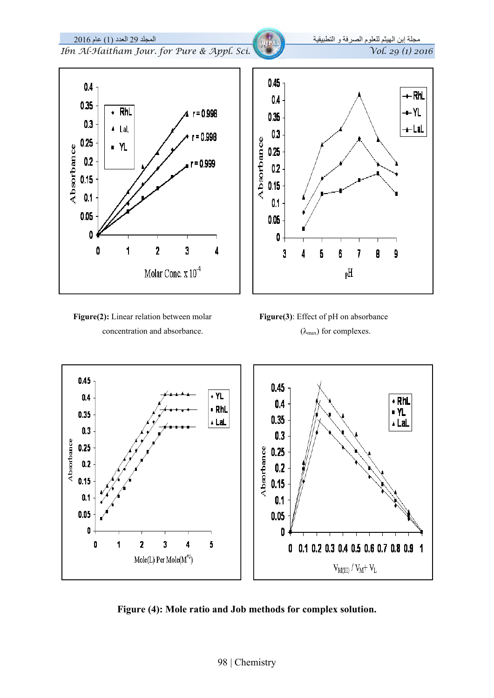

**Figure (4): Mole ratio and Job methods for complex solution.** 

 $\mathbf{0}$ 

0

0.1 0.2 0.3 0.4 0.5 0.6 0.7 0.8 0.9 1

 $V_{M(III)}/V_M+V_L$ 

0

0

 $\overline{\mathbf{2}}$ 

 $\mathbf{1}$ 

 $\overline{\mathbf{3}}$ 

 $\text{Mole}(\text{L})$  Per  $\text{Mole}(\text{M}^{+3})$ 

4

5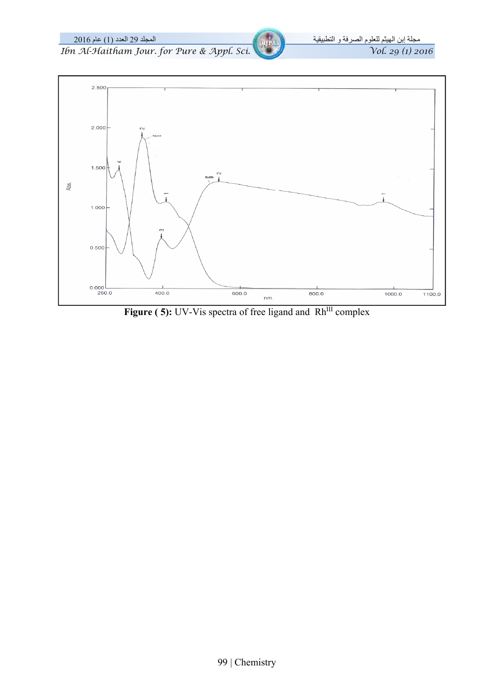

Figure (5): UV-Vis spectra of free ligand and Rh<sup>III</sup> complex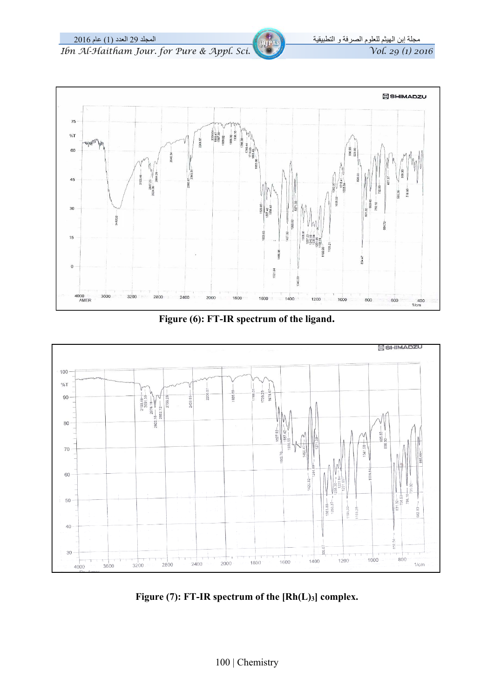مجلة إبن الهيثم للعلوم الصرفة و التطبيقية المجلد 29 العدد (1) عام 2016 *Ibn Al-Haitham Jour. for Pure & Appl. Sci.* 



**Figure (6): FT-IR spectrum of the ligand.** 



**Figure (7): FT-IR spectrum of the [Rh(L)3] complex.**